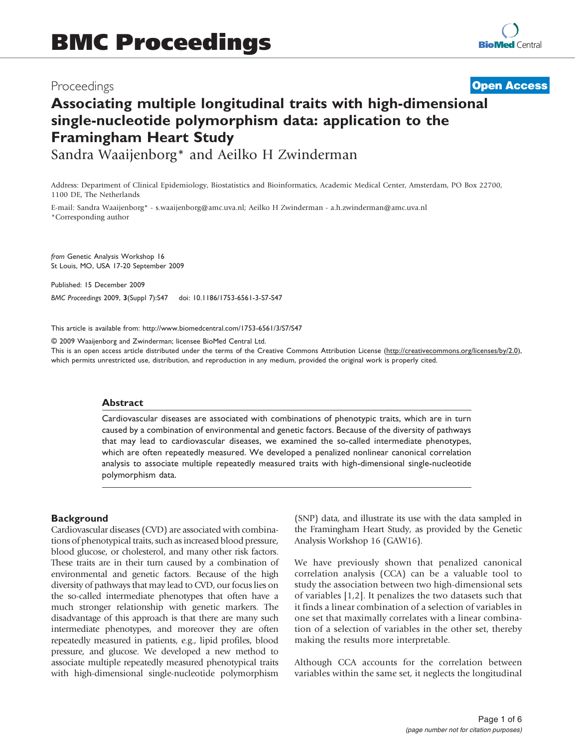## Proceedings

# **[Open Access](http://www.biomedcentral.com/info/about/charter/)**

# Associating multiple longitudinal traits with high-dimensional single-nucleotide polymorphism data: application to the Framingham Heart Study

Sandra Waaijenborg\* and Aeilko H Zwinderman

Address: Department of Clinical Epidemiology, Biostatistics and Bioinformatics, Academic Medical Center, Amsterdam, PO Box 22700, 1100 DE, The Netherlands

E-mail: Sandra Waaijenborg\* - [s.waaijenborg@amc.uva.nl;](mailto:s.waaijenborg@amc.uva.nl) Aeilko H Zwinderman - [a.h.zwinderman@amc.uva.nl](mailto:a.h.zwinderman@amc.uva.nl) \*Corresponding author

from Genetic Analysis Workshop 16 St Louis, MO, USA 17-20 September 2009

Published: 15 December 2009 BMC Proceedings 2009, 3(Suppl 7):S47 doi: 10.1186/1753-6561-3-S7-S47

This article is available from: http://www.biomedcentral.com/1753-6561/3/S7/S47

© 2009 Waaijenborg and Zwinderman; licensee BioMed Central Ltd.

This is an open access article distributed under the terms of the Creative Commons Attribution License [\(http://creativecommons.org/licenses/by/2.0\)](http://creativecommons.org/licenses/by/2.0), which permits unrestricted use, distribution, and reproduction in any medium, provided the original work is properly cited.

#### Abstract

Cardiovascular diseases are associated with combinations of phenotypic traits, which are in turn caused by a combination of environmental and genetic factors. Because of the diversity of pathways that may lead to cardiovascular diseases, we examined the so-called intermediate phenotypes, which are often repeatedly measured. We developed a penalized nonlinear canonical correlation analysis to associate multiple repeatedly measured traits with high-dimensional single-nucleotide polymorphism data.

## **Background**

Cardiovascular diseases (CVD) are associated with combinations of phenotypical traits, such as increased blood pressure, blood glucose, or cholesterol, and many other risk factors. These traits are in their turn caused by a combination of environmental and genetic factors. Because of the high diversity of pathways that may lead to CVD, our focus lies on the so-called intermediate phenotypes that often have a much stronger relationship with genetic markers. The disadvantage of this approach is that there are many such intermediate phenotypes, and moreover they are often repeatedly measured in patients, e.g., lipid profiles, blood pressure, and glucose. We developed a new method to associate multiple repeatedly measured phenotypical traits with high-dimensional single-nucleotide polymorphism (SNP) data, and illustrate its use with the data sampled in the Framingham Heart Study, as provided by the Genetic Analysis Workshop 16 (GAW16).

We have previously shown that penalized canonical correlation analysis (CCA) can be a valuable tool to study the association between two high-dimensional sets of variables [[1](#page-5-0),[2](#page-5-0)]. It penalizes the two datasets such that it finds a linear combination of a selection of variables in one set that maximally correlates with a linear combination of a selection of variables in the other set, thereby making the results more interpretable.

Although CCA accounts for the correlation between variables within the same set, it neglects the longitudinal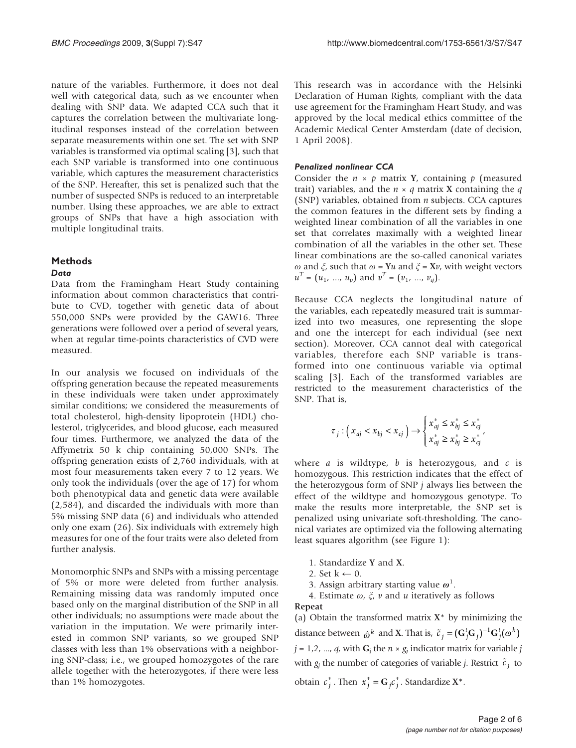nature of the variables. Furthermore, it does not deal well with categorical data, such as we encounter when dealing with SNP data. We adapted CCA such that it captures the correlation between the multivariate longitudinal responses instead of the correlation between separate measurements within one set. The set with SNP variables is transformed via optimal scaling [[3\]](#page-5-0), such that each SNP variable is transformed into one continuous variable, which captures the measurement characteristics of the SNP. Hereafter, this set is penalized such that the number of suspected SNPs is reduced to an interpretable number. Using these approaches, we are able to extract groups of SNPs that have a high association with multiple longitudinal traits.

## Methods

#### Data

Data from the Framingham Heart Study containing information about common characteristics that contribute to CVD, together with genetic data of about 550,000 SNPs were provided by the GAW16. Three generations were followed over a period of several years, when at regular time-points characteristics of CVD were measured.

In our analysis we focused on individuals of the offspring generation because the repeated measurements in these individuals were taken under approximately similar conditions; we considered the measurements of total cholesterol, high-density lipoprotein (HDL) cholesterol, triglycerides, and blood glucose, each measured four times. Furthermore, we analyzed the data of the Affymetrix 50 k chip containing 50,000 SNPs. The offspring generation exists of 2,760 individuals, with at most four measurements taken every 7 to 12 years. We only took the individuals (over the age of 17) for whom both phenotypical data and genetic data were available (2,584), and discarded the individuals with more than 5% missing SNP data (6) and individuals who attended only one exam (26). Six individuals with extremely high measures for one of the four traits were also deleted from further analysis.

Monomorphic SNPs and SNPs with a missing percentage of 5% or more were deleted from further analysis. Remaining missing data was randomly imputed once based only on the marginal distribution of the SNP in all other individuals; no assumptions were made about the variation in the imputation. We were primarily interested in common SNP variants, so we grouped SNP classes with less than 1% observations with a neighboring SNP-class; i.e., we grouped homozygotes of the rare allele together with the heterozygotes, if there were less than 1% homozygotes.

This research was in accordance with the Helsinki Declaration of Human Rights, compliant with the data use agreement for the Framingham Heart Study, and was approved by the local medical ethics committee of the Academic Medical Center Amsterdam (date of decision, 1 April 2008).

#### Penalized nonlinear CCA

Consider the  $n \times p$  matrix Y, containing  $p$  (measured trait) variables, and the  $n \times q$  matrix X containing the q (SNP) variables, obtained from n subjects. CCA captures the common features in the different sets by finding a weighted linear combination of all the variables in one set that correlates maximally with a weighted linear combination of all the variables in the other set. These linear combinations are the so-called canonical variates ω and  $\xi$ , such that ω = Yu and  $\xi$  = Xv, with weight vectors  $u^T = (u_1, ..., u_p)$  and  $v^T = (v_1, ..., v_q)$ .

Because CCA neglects the longitudinal nature of the variables, each repeatedly measured trait is summarized into two measures, one representing the slope and one the intercept for each individual (see next section). Moreover, CCA cannot deal with categorical variables, therefore each SNP variable is transformed into one continuous variable via optimal scaling [\[3](#page-5-0)]. Each of the transformed variables are restricted to the measurement characteristics of the SNP. That is,

$$
\tau_j : \left( x_{aj} < x_{bj} < x_{cj} \right) \rightarrow \begin{cases} x_{aj}^* \leq x_{bj}^* \leq x_{cj}^* \\ x_{aj}^* \geq x_{bj}^* \geq x_{cj}^* \end{cases}
$$

where  $a$  is wildtype,  $b$  is heterozygous, and  $c$  is homozygous. This restriction indicates that the effect of the heterozygous form of SNP j always lies between the effect of the wildtype and homozygous genotype. To make the results more interpretable, the SNP set is penalized using univariate soft-thresholding. The canonical variates are optimized via the following alternating least squares algorithm (see [Figure 1\)](#page-2-0):

- 1. Standardize Y and X.
- 2. Set  $k \leftarrow 0$ .
- 3. Assign arbitrary starting value  $\omega^1$ .
- 4. Estimate  $\omega$ ,  $\xi$ ,  $\nu$  and  $\mu$  iteratively as follows

Repeat (a) Obtain the transformed matrix  $X^*$  by minimizing the distance between  $\hat{\omega}^k$  and X. That is,  $\tilde{c}_j = (G^t_j G_j)^{-1} G^t_j (\omega^k)$  $j = 1, 2, ..., q$ , with  $G_j$  the  $n \times g_j$  indicator matrix for variable j with  $g_i$  the number of categories of variable *j*. Restrict  $\tilde{c}_j$  to obtain  $c_j^*$ . Then  $x_j^* = G_j c_j^*$ . Standardize **X**<sup>\*</sup>.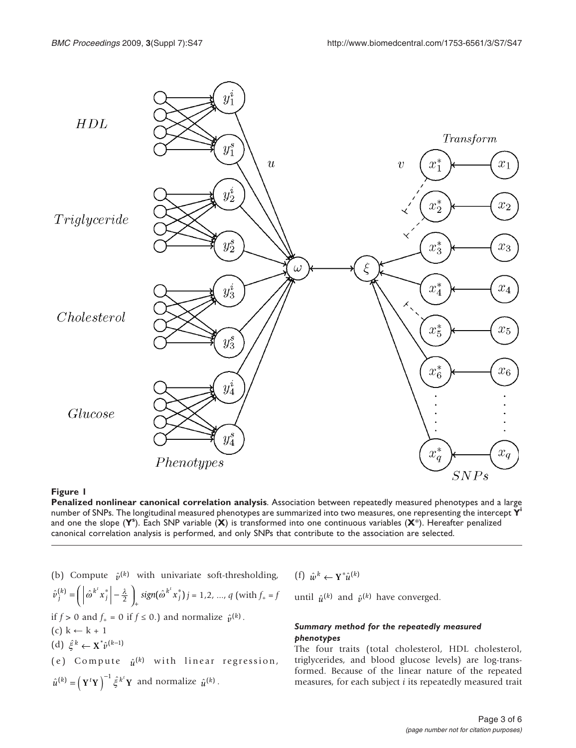<span id="page-2-0"></span>

## Figure 1

Penalized nonlinear canonical correlation analysis. Association between repeatedly measured phenotypes and a large number of SNPs. The longitudinal measured phenotypes are summarized into two measures, one representing the intercept  $Y^i$ and one the slope (Y<sup>s</sup>). Each SNP variable (X) is transformed into one continuous variables (X\*). Hereafter penalized canonical correlation analysis is performed, and only SNPs that contribute to the association are selected.

(b) Compute  $\hat{v}^{(k)}$  with univariate soft-thresholding,  $\hat{v}_j^{(k)} = \left( \left| \hat{\omega}^{k^t} x_j^* \right| - \frac{\lambda}{2} \right)$  sign $(\hat{\omega}^{k^t} x_j^*)$  $=\left(\left|\hat{\omega}^{k^t}x_j^*\right|-\frac{\lambda}{2}\right)_{+}sign(\hat{\omega}^{k^t})$  $\hat{\omega}^{k^t} x_j^* \left| -\frac{\lambda}{2} \right|_* \text{sign}(\hat{\omega}^{k^t} x_j^*) j = 1, 2, ..., q \text{ (with } f_+ = f \text{ until } \hat{u}^{(k)} \text{ and } \hat{v}^{(k)} \text{ have converged.}$ if  $f > 0$  and  $f_+ = 0$  if  $f \le 0$ .) and normalize  $\hat{v}^{(k)}$ . (c)  $k \leftarrow k + 1$ (d)  $\hat{\varepsilon}^k \leftarrow \mathbf{X}^* \hat{\nu}^{(k-1)}$ (e) Compute  $\hat{u}^{(k)}$  with linear regression,

 $\hat{u}^{(k)} = (\mathbf{Y}^t \mathbf{Y})^{-1} \hat{\xi}^{k'} \mathbf{Y}$  and normalize  $\hat{u}^{(k)}$ .

 $(f)$   $\hat{w}^k \leftarrow Y^* \hat{u}^{(k)}$ 

## Summary method for the repeatedly measured phenotypes

The four traits (total cholesterol, HDL cholesterol, triglycerides, and blood glucose levels) are log-transformed. Because of the linear nature of the repeated measures, for each subject *i* its repeatedly measured trait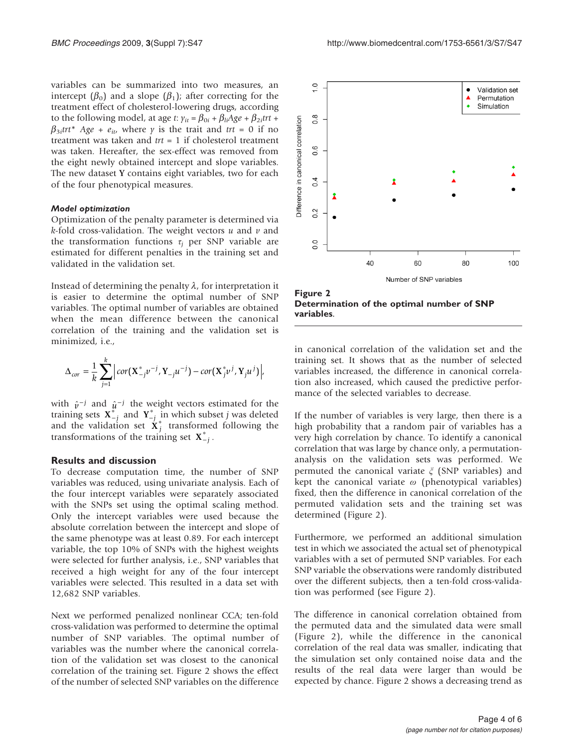variables can be summarized into two measures, an intercept  $(\beta_0)$  and a slope  $(\beta_1)$ ; after correcting for the treatment effect of cholesterol-lowering drugs, according to the following model, at age t:  $y_{it} = \beta_{0i} + \beta_{li}Age + \beta_{2i} trt +$  $\beta_{3i}$ trt\* Age +  $e_{it}$ , where y is the trait and trt = 0 if no treatment was taken and  $trt = 1$  if cholesterol treatment was taken. Hereafter, the sex-effect was removed from the eight newly obtained intercept and slope variables. The new dataset Y contains eight variables, two for each of the four phenotypical measures.

#### Model optimization

Optimization of the penalty parameter is determined via k-fold cross-validation. The weight vectors  $u$  and  $v$  and the transformation functions  $\tau_i$  per SNP variable are estimated for different penalties in the training set and validated in the validation set.

Instead of determining the penalty  $\lambda$ , for interpretation it is easier to determine the optimal number of SNP variables. The optimal number of variables are obtained when the mean difference between the canonical correlation of the training and the validation set is minimized, i.e.,

$$
\Delta_{cor} = \frac{1}{k} \sum_{j=1}^{k} \left| cor(\mathbf{X}_{-j}^* v^{-j}, \mathbf{Y}_{-j} u^{-j}) - cor(\mathbf{X}_{j}^* v^{j}, \mathbf{Y}_{j} u^{j}) \right|,
$$

with  $\hat{v}^{-j}$  and  $\hat{u}^{-j}$  the weight vectors estimated for the training sets  $X_{-j}^{*}$  and  $Y_{-j}^{*}$  in which subset *j* was deleted<br>and the validation set  $X^{*}$  transformed following the and the validation set  $\mathbf{X}_{j}^{*}$  transformed following the transformations of the training set  $X^*_{-j}$ .

#### Results and discussion

To decrease computation time, the number of SNP variables was reduced, using univariate analysis. Each of the four intercept variables were separately associated with the SNPs set using the optimal scaling method. Only the intercept variables were used because the absolute correlation between the intercept and slope of the same phenotype was at least 0.89. For each intercept variable, the top 10% of SNPs with the highest weights were selected for further analysis, i.e., SNP variables that received a high weight for any of the four intercept variables were selected. This resulted in a data set with 12,682 SNP variables.

Next we performed penalized nonlinear CCA; ten-fold cross-validation was performed to determine the optimal number of SNP variables. The optimal number of variables was the number where the canonical correlation of the validation set was closest to the canonical correlation of the training set. Figure 2 shows the effect of the number of selected SNP variables on the difference



Figure 2 Determination of the optimal number of SNP variables.

in canonical correlation of the validation set and the training set. It shows that as the number of selected variables increased, the difference in canonical correlation also increased, which caused the predictive performance of the selected variables to decrease.

If the number of variables is very large, then there is a high probability that a random pair of variables has a very high correlation by chance. To identify a canonical correlation that was large by chance only, a permutationanalysis on the validation sets was performed. We permuted the canonical variate  $\xi$  (SNP variables) and kept the canonical variate  $\omega$  (phenotypical variables) fixed, then the difference in canonical correlation of the permuted validation sets and the training set was determined (Figure 2).

Furthermore, we performed an additional simulation test in which we associated the actual set of phenotypical variables with a set of permuted SNP variables. For each SNP variable the observations were randomly distributed over the different subjects, then a ten-fold cross-validation was performed (see Figure 2).

The difference in canonical correlation obtained from the permuted data and the simulated data were small (Figure 2), while the difference in the canonical correlation of the real data was smaller, indicating that the simulation set only contained noise data and the results of the real data were larger than would be expected by chance. Figure 2 shows a decreasing trend as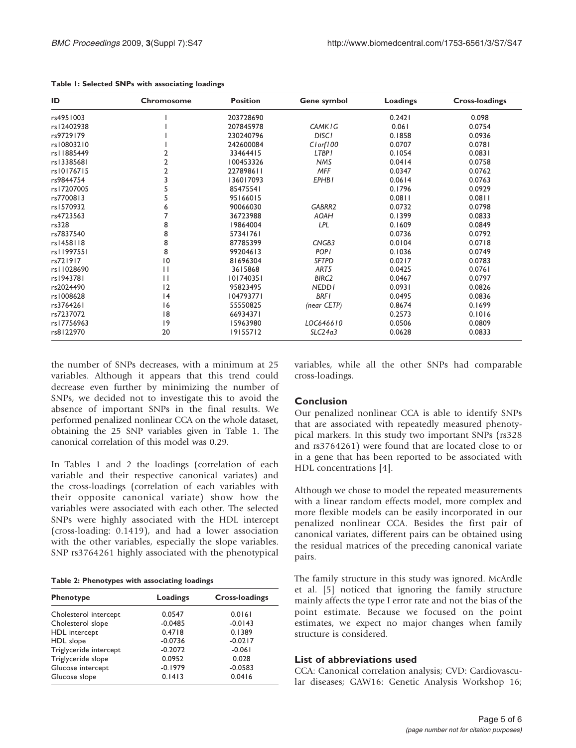| ID         | Chromosome   | <b>Position</b> | Gene symbol       | Loadings | <b>Cross-loadings</b> |
|------------|--------------|-----------------|-------------------|----------|-----------------------|
| rs4951003  |              | 203728690       |                   | 0.2421   | 0.098                 |
| rs12402938 |              | 207845978       | <b>CAMKIG</b>     | 0.061    | 0.0754                |
| rs9729179  |              | 230240796       | <b>DISCI</b>      | 0.1858   | 0.0936                |
| rs10803210 |              | 242600084       | $Cl$ or $fl$ 00   | 0.0707   | 0.0781                |
| rs11885449 | 2            | 33464415        | <b>LTBPI</b>      | 0.1054   | 0.0831                |
| rs13385681 | 2            | 100453326       | <b>NMS</b>        | 0.0414   | 0.0758                |
| rs10176715 | 2            | 227898611       | <b>MFF</b>        | 0.0347   | 0.0762                |
| rs9844754  | 3            | 136017093       | EPHB <sub>I</sub> | 0.0614   | 0.0763                |
| rs17207005 | 5            | 85475541        |                   | 0.1796   | 0.0929                |
| rs7700813  | 5            | 95166015        |                   | 0.0811   | 0.0811                |
| rs1570932  | 6            | 90066030        | GABRR2            | 0.0732   | 0.0798                |
| rs4723563  | 7            | 36723988        | <b>AOAH</b>       | 0.1399   | 0.0833                |
| rs328      | 8            | 19864004        | LPL               | 0.1609   | 0.0849                |
| rs7837540  | 8            | 57341761        |                   | 0.0736   | 0.0792                |
| rs1458118  | 8            | 87785399        | CNGB3             | 0.0104   | 0.0718                |
| rs11997551 | 8            | 99204613        | <b>POPI</b>       | 0.1036   | 0.0749                |
| rs721917   | 0            | 81696304        | <b>SFTPD</b>      | 0.0217   | 0.0783                |
| rs11028690 | $\mathbf{H}$ | 3615868         | ART5              | 0.0425   | 0.0761                |
| rs1943781  | $\mathbf{1}$ | 101740351       | BIRC <sub>2</sub> | 0.0467   | 0.0797                |
| rs2024490  | 12           | 95823495        | <b>NEDD1</b>      | 0.0931   | 0.0826                |
| rs1008628  | 4            | 104793771       | <b>BRF1</b>       | 0.0495   | 0.0836                |
| rs3764261  | 16           | 55550825        | (near CETP)       | 0.8674   | 0.1699                |
| rs7237072  | 8            | 66934371        |                   | 0.2573   | 0.1016                |
| rs17756963 | 9            | 15963980        | LOC646610         | 0.0506   | 0.0809                |
| rs8122970  | 20           | 19155712        | SLC24a3           | 0.0628   | 0.0833                |

Table 1: Selected SNPs with associating loadings

the number of SNPs decreases, with a minimum at 25 variables. Although it appears that this trend could decrease even further by minimizing the number of SNPs, we decided not to investigate this to avoid the absence of important SNPs in the final results. We performed penalized nonlinear CCA on the whole dataset, obtaining the 25 SNP variables given in Table 1. The canonical correlation of this model was 0.29.

In Tables 1 and 2 the loadings (correlation of each variable and their respective canonical variates) and the cross-loadings (correlation of each variables with their opposite canonical variate) show how the variables were associated with each other. The selected SNPs were highly associated with the HDL intercept (cross-loading: 0.1419), and had a lower association with the other variables, especially the slope variables. SNP rs3764261 highly associated with the phenotypical

Table 2: Phenotypes with associating loadings

| <b>Phenotype</b>       | Loadings  | <b>Cross-loadings</b> |  |
|------------------------|-----------|-----------------------|--|
| Cholesterol intercept  | 0.0547    | 0.0161                |  |
| Cholesterol slope      | $-0.0485$ | $-0.0143$             |  |
| HDL intercept          | 0.4718    | 0.1389                |  |
| HDL slope              | $-0.0736$ | $-0.0217$             |  |
| Triglyceride intercept | $-0.2072$ | $-0.061$              |  |
| Triglyceride slope     | 0.0952    | 0.028                 |  |
| Glucose intercept      | $-0.1979$ | $-0.0583$             |  |
| Glucose slope          | 0.1413    | 0.0416                |  |

variables, while all the other SNPs had comparable cross-loadings.

## Conclusion

Our penalized nonlinear CCA is able to identify SNPs that are associated with repeatedly measured phenotypical markers. In this study two important SNPs (rs328 and rs3764261) were found that are located close to or in a gene that has been reported to be associated with HDL concentrations [[4\]](#page-5-0).

Although we chose to model the repeated measurements with a linear random effects model, more complex and more flexible models can be easily incorporated in our penalized nonlinear CCA. Besides the first pair of canonical variates, different pairs can be obtained using the residual matrices of the preceding canonical variate pairs.

The family structure in this study was ignored. McArdle et al. [[5](#page-5-0)] noticed that ignoring the family structure mainly affects the type I error rate and not the bias of the point estimate. Because we focused on the point estimates, we expect no major changes when family structure is considered.

## List of abbreviations used

CCA: Canonical correlation analysis; CVD: Cardiovascular diseases; GAW16: Genetic Analysis Workshop 16;